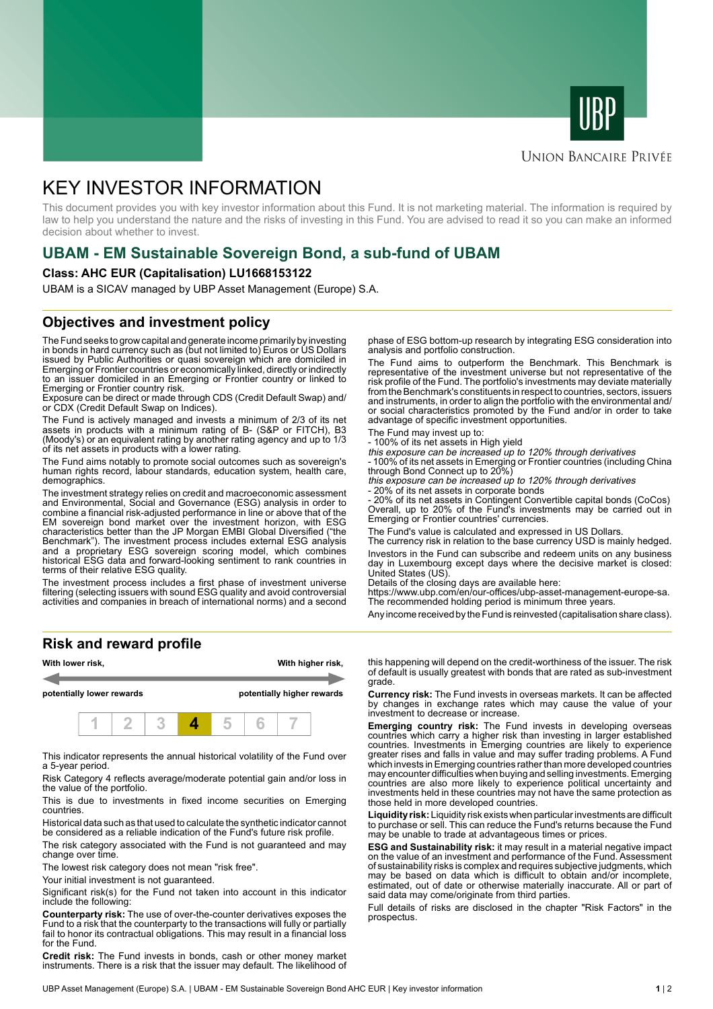



# **UNION BANCAIRE PRIVÉE**

# KEY INVESTOR INFORMATION

This document provides you with key investor information about this Fund. It is not marketing material. The information is required by law to help you understand the nature and the risks of investing in this Fund. You are advised to read it so you can make an informed decision about whether to invest.

# **UBAM - EM Sustainable Sovereign Bond, a sub-fund of UBAM**

### **Class: AHC EUR (Capitalisation) LU1668153122**

UBAM is a SICAV managed by UBP Asset Management (Europe) S.A.

# **Objectives and investment policy**

The Fund seeks to grow capital and generate income primarily by investing in bonds in hard currency such as (but not limited to) Euros or US Dollars issued by Public Authorities or quasi sovereign which are domiciled in Emerging or Frontier countries or economically linked, directly or indirectly to an issuer domiciled in an Emerging or Frontier country or linked to Emerging or Frontier country risk.

Exposure can be direct or made through CDS (Credit Default Swap) and/ or CDX (Credit Default Swap on Indices).

The Fund is actively managed and invests a minimum of 2/3 of its net assets in products with a minimum rating of B- (S&P or FITCH), B3 (Moody's) or an equivalent rating by another rating agency and up to 1/3 of its net assets in products with a lower rating.

The Fund aims notably to promote social outcomes such as sovereign's human rights record, labour standards, education system, health care, demographics.

The investment strategy relies on credit and macroeconomic assessment and Environmental, Social and Governance (ESG) analysis in order to combine a financial risk-adjusted performance in line or above that of the EM sovereign bond market over the investment horizon, with ESG characteristics better than the JP Morgan EMBI Global Diversified ("the Benchmark"). The investment process includes external ESG analysis and a proprietary ESG sovereign scoring model, which combines historical ESG data and forward-looking sentiment to rank countries in terms of their relative ESG quality.

The investment process includes a first phase of investment universe filtering (selecting issuers with sound ESG quality and avoid controversial activities and companies in breach of international norms) and a second

**Risk and reward profile**



This indicator represents the annual historical volatility of the Fund over a 5-year period.

Risk Category 4 reflects average/moderate potential gain and/or loss in the value of the portfolio.

This is due to investments in fixed income securities on Emerging countries.

Historical data such as that used to calculate the synthetic indicator cannot be considered as a reliable indication of the Fund's future risk profile.

The risk category associated with the Fund is not guaranteed and may change over time.

The lowest risk category does not mean "risk free".

Your initial investment is not guaranteed.

Significant risk(s) for the Fund not taken into account in this indicator include the following:

**Counterparty risk:** The use of over-the-counter derivatives exposes the Fund to a risk that the counterparty to the transactions will fully or partially fail to honor its contractual obligations. This may result in a financial loss for the Fund.

**Credit risk:** The Fund invests in bonds, cash or other money market instruments. There is a risk that the issuer may default. The likelihood of

phase of ESG bottom-up research by integrating ESG consideration into analysis and portfolio construction.

The Fund aims to outperform the Benchmark. This Benchmark is representative of the investment universe but not representative of the risk profile of the Fund. The portfolio's investments may deviate materially from the Benchmark's constituents in respect to countries, sectors, issuers and instruments, in order to align the portfolio with the environmental and/ or social characteristics promoted by the Fund and/or in order to take advantage of specific investment opportunities.

The Fund may invest up to:

- 100% of its net assets in High yield

this exposure can be increased up to 120% through derivatives - 100% of its net assets in Emerging or Frontier countries (including China

through Bond Connect up to 20%) this exposure can be increased up to 120% through derivatives

20% of its net assets in corporate bonds

- 20% of its net assets in Contingent Convertible capital bonds (CoCos) Overall, up to 20% of the Fund's investments may be carried out in Emerging or Frontier countries' currencies.

The Fund's value is calculated and expressed in US Dollars.

The currency risk in relation to the base currency USD is mainly hedged. Investors in the Fund can subscribe and redeem units on any business day in Luxembourg except days where the decisive market is closed: United States (US).

Details of the closing days are available here:

https://www.ubp.com/en/our-offices/ubp-asset-management-europe-sa. The recommended holding period is minimum three years.

Any income received by the Fund is reinvested (capitalisation share class).

this happening will depend on the credit-worthiness of the issuer. The risk of default is usually greatest with bonds that are rated as sub-investment grade.

**Currency risk:** The Fund invests in overseas markets. It can be affected by changes in exchange rates which may cause the value of your investment to decrease or increase.

**Emerging country risk:** The Fund invests in developing overseas countries which carry a higher risk than investing in larger established countries. Investments in Emerging countries are likely to experience greater rises and falls in value and may suffer trading problems. A Fund which invests in Emerging countries rather than more developed countries may encounter difficulties when buying and selling investments. Emerging countries are also more likely to experience political uncertainty and investments held in these countries may not have the same protection as those held in more developed countries.

**Liquidity risk:** Liquidity risk exists when particular investments are difficult to purchase or sell. This can reduce the Fund's returns because the Fund may be unable to trade at advantageous times or prices.

**ESG and Sustainability risk:** it may result in a material negative impact on the value of an investment and performance of the Fund. Assessment of sustainability risks is complex and requires subjective judgments, which may be based on data which is difficult to obtain and/or incomplete, estimated, out of date or otherwise materially inaccurate. All or part of said data may come/originate from third parties.

Full details of risks are disclosed in the chapter "Risk Factors" in the prospectus.